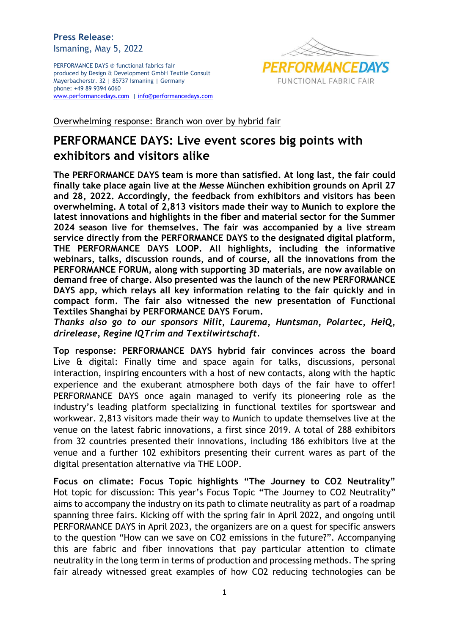## **Press Release**: Ismaning, May 5, 2022

PERFORMANCE DAYS ® functional fabrics fair produced by Design & Development GmbH Textile Consult Mayerbacherstr. 32 | 85737 Ismaning | Germany phone: +49 89 9394 6060 [www.performancedays.com](http://www.performancedays.com/) [| info@performancedays.com](mailto:info@performancedays.com)



Overwhelming response: Branch won over by hybrid fair

# **PERFORMANCE DAYS: Live event scores big points with exhibitors and visitors alike**

**The PERFORMANCE DAYS team is more than satisfied. At long last, the fair could finally take place again live at the Messe München exhibition grounds on April 27 and 28, 2022. Accordingly, the feedback from exhibitors and visitors has been overwhelming. A total of 2,813 visitors made their way to Munich to explore the latest innovations and highlights in the fiber and material sector for the Summer 2024 season live for themselves. The fair was accompanied by a live stream service directly from the PERFORMANCE DAYS to the designated digital platform, THE PERFORMANCE DAYS LOOP. All highlights, including the informative webinars, talks, discussion rounds, and of course, all the innovations from the PERFORMANCE FORUM, along with supporting 3D materials, are now available on demand free of charge. Also presented was the launch of the new PERFORMANCE DAYS app, which relays all key information relating to the fair quickly and in compact form. The fair also witnessed the new presentation of Functional Textiles Shanghai by PERFORMANCE DAYS Forum.** 

*Thanks also go to our sponsors Nilit, Laurema, Huntsman, Polartec, HeiQ, drirelease, Regine IQTrim and Textilwirtschaft.*

**Top response: PERFORMANCE DAYS hybrid fair convinces across the board** Live & digital: Finally time and space again for talks, discussions, personal interaction, inspiring encounters with a host of new contacts, along with the haptic experience and the exuberant atmosphere both days of the fair have to offer! PERFORMANCE DAYS once again managed to verify its pioneering role as the industry's leading platform specializing in functional textiles for sportswear and workwear. 2,813 visitors made their way to Munich to update themselves live at the venue on the latest fabric innovations, a first since 2019. A total of 288 exhibitors from 32 countries presented their innovations, including 186 exhibitors live at the venue and a further 102 exhibitors presenting their current wares as part of the digital presentation alternative via THE LOOP.

**Focus on climate: Focus Topic highlights "The Journey to CO2 Neutrality"** Hot topic for discussion: This year's Focus Topic "The Journey to CO2 Neutrality" aims to accompany the industry on its path to climate neutrality as part of a roadmap spanning three fairs. Kicking off with the spring fair in April 2022, and ongoing until PERFORMANCE DAYS in April 2023, the organizers are on a quest for specific answers to the question "How can we save on CO2 emissions in the future?". Accompanying this are fabric and fiber innovations that pay particular attention to climate neutrality in the long term in terms of production and processing methods. The spring fair already witnessed great examples of how CO2 reducing technologies can be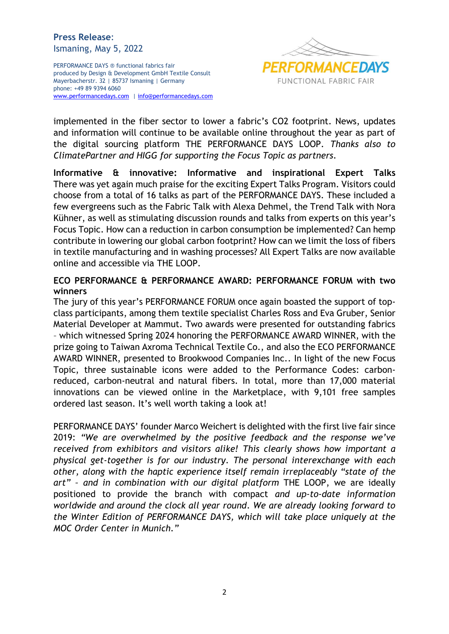## **Press Release**: Ismaning, May 5, 2022

PERFORMANCE DAYS ® functional fabrics fair produced by Design & Development GmbH Textile Consult Mayerbacherstr. 32 | 85737 Ismaning | Germany phone: +49 89 9394 6060 [www.performancedays.com](http://www.performancedays.com/) [| info@performancedays.com](mailto:info@performancedays.com)



implemented in the fiber sector to lower a fabric's CO2 footprint. News, updates and information will continue to be available online throughout the year as part of the digital sourcing platform THE PERFORMANCE DAYS LOOP. *Thanks also to ClimatePartner and HIGG for supporting the Focus Topic as partners.*

**Informative & innovative: Informative and inspirational Expert Talks** There was yet again much praise for the exciting Expert Talks Program. Visitors could choose from a total of 16 talks as part of the PERFORMANCE DAYS. These included a few evergreens such as the Fabric Talk with Alexa Dehmel, the Trend Talk with Nora Kühner, as well as stimulating discussion rounds and talks from experts on this year's Focus Topic. How can a reduction in carbon consumption be implemented? Can hemp contribute in lowering our global carbon footprint? How can we limit the loss of fibers in textile manufacturing and in washing processes? All Expert Talks are now available online and accessible via THE LOOP.

## **ECO PERFORMANCE & PERFORMANCE AWARD: PERFORMANCE FORUM with two winners**

The jury of this year's PERFORMANCE FORUM once again boasted the support of topclass participants, among them textile specialist Charles Ross and Eva Gruber, Senior Material Developer at Mammut. Two awards were presented for outstanding fabrics – which witnessed Spring 2024 honoring the PERFORMANCE AWARD WINNER, with the prize going to Taiwan Axroma Technical Textile Co., and also the ECO PERFORMANCE AWARD WINNER, presented to Brookwood Companies Inc.. In light of the new Focus Topic, three sustainable icons were added to the Performance Codes: carbonreduced, carbon-neutral and natural fibers. In total, more than 17,000 material innovations can be viewed online in the Marketplace, with 9,101 free samples ordered last season. It's well worth taking a look at!

PERFORMANCE DAYS' founder Marco Weichert is delighted with the first live fair since 2019: *"We are overwhelmed by the positive feedback and the response we've received from exhibitors and visitors alike! This clearly shows how important a physical get-together is for our industry. The personal interexchange with each other, along with the haptic experience itself remain irreplaceably "state of the art" – and in combination with our digital platform* THE LOOP, we are ideally positioned to provide the branch with compact *and up-to-date information worldwide and around the clock all year round. We are already looking forward to the Winter Edition of PERFORMANCE DAYS, which will take place uniquely at the MOC Order Center in Munich."*